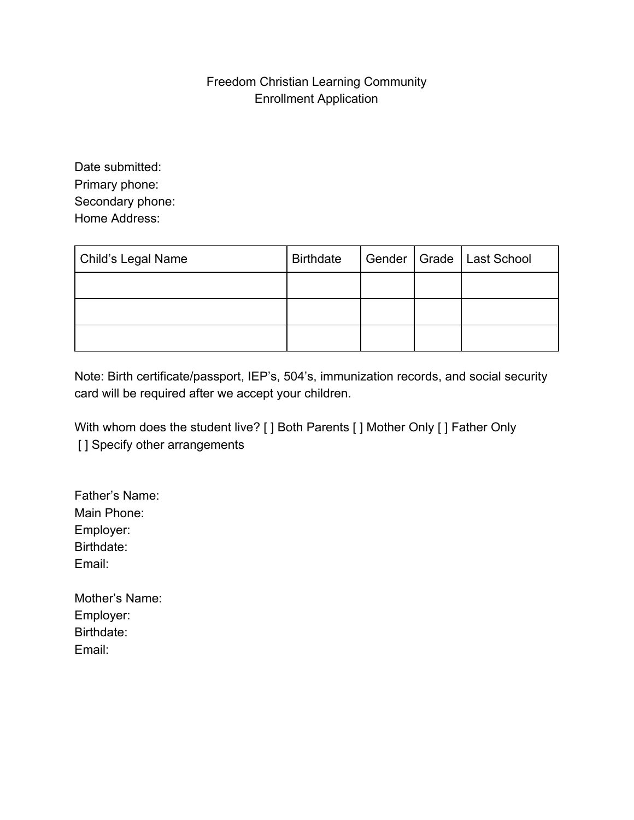## Freedom Christian Learning Community Enrollment Application

Date submitted: Primary phone: Secondary phone: Home Address:

| Child's Legal Name | <b>Birthdate</b> |  | Gender   Grade   Last School |
|--------------------|------------------|--|------------------------------|
|                    |                  |  |                              |
|                    |                  |  |                              |
|                    |                  |  |                              |

Note: Birth certificate/passport, IEP's, 504's, immunization records, and social security card will be required after we accept your children.

With whom does the student live? [ ] Both Parents [ ] Mother Only [ ] Father Only [] Specify other arrangements

Father's Name: Main Phone: Employer: Birthdate: Email:

Mother's Name: Employer: Birthdate: Email: